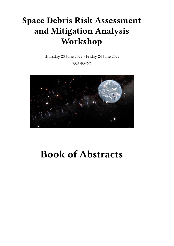## **Space Debris Risk Assessment and Mitigation Analysis Workshop**

Thursday 23 June 2022 - Friday 24 June 2022

ESA/ESOC



# **Book of Abstracts**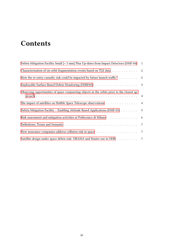## **Contents**

| Debris Mitigation Facility Small [< 5 mm] Flux Up-dates from Impact Detectors (DMF-04)              | $\mathbf{1}$ |
|-----------------------------------------------------------------------------------------------------|--------------|
| Characterisation of on-orbit fragmentation events based on TLE data 2                               |              |
| How the re-entry casualty risk could be impacted by future launch traffic? $\dots \dots$            |              |
|                                                                                                     |              |
| Observing opportunities of space conjuncting objects in the orbits prior to the closest ap-         |              |
| The impact of satellites on Hubble Space Telescope observations 4                                   |              |
| Debris Mitigation Facility – Enabling Attitude Based Applications (DMF-03) 5                        |              |
| Risk assessment and mitigation activities at Politecnico di Milano 6                                |              |
|                                                                                                     |              |
| How insurance companies address collision risk in space $\dots \dots \dots \dots \dots \dots \dots$ |              |
| Satellite design under space debris risk: DRAMA and Master use in OHB 7                             |              |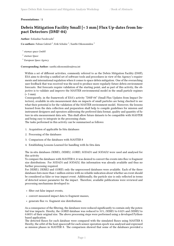## <span id="page-4-0"></span>**Presentations** / **1**

## **Debris Mitigation Facility Small [< 5 mm] Flux Up-dates from Impact Detectors (DMF-04)**

**Author:** Esfandiar Farahvashi<sup>1</sup>

Co-authors: Fabian Gabriel<sup>2</sup>; Erik Schulze<sup>2</sup>; Xanthi Oikonomidou<sup>3</sup>

1 *etamax space GmbH*

2 *etamax Space*

3 *European Space Agency*

## **Corresponding Author:** xanthi.oikonomidou@esa.int

Within a set of different activities, commonly referred to as the Debris Mitigation Facility (DMF), ESA aims to develop a unified set of software tools and procedures in view of the Agency's requirements and international regulation when it comes to space debris mitigation. One of the overarching user feedback that was received was the need to produce more regularly future debris environment forecasts. But forecasts require validation of the starting point, and as part of this activity, the objective is to validate and improve the MASTER environmental model in the small particle regimes  $(< 5$  mm $).$ 

Consequently, in the framework of ESA's activity "DMF-04" (Small Flux Updates from Impact Detectors), available in-situ measurement data on impacts of small particles are being checked to see what their potential is for the validation of the MASTER environment model. Moreover, the lessons learned from the data collection and preparation shall help to compile guidelines for mission and instrument designers and operators addressing the preferred data format, quality and quantity of future in-situ measurement data sets. This shall allow future datasets to be compatible with MASTER and being easy to integrate in the processing chain.

The tasks performed in this activity can be summarised as follows:

- 1. Acquisition of applicable In-Situ databases
- 2. Processing of the databases
- 3. Comparison of the databases with MASTER 8
- 4. Establishing Lessons Learned for handling with In-Situ data

The in-situ databases *DEBIE1*, *DEBIE2*, *GORID*, *SODAD1* and *SODAD2* were used and analysed for this activity

To compare the databases with MASTER 8, it was desired to convert the events into flux vs fragment size distributions. For *SODAD1* and *SODAD2*, this information was already available and thus no further processing required.

For *DEBIE1*, *DEBIE2* and *GORID*, only the unprocessed databases were available. Each of the three databases lists more than 1 million entries with no reliable indication about whether an event should be considered as false or true impact event. Additionally, the particle size is only reflected in terms of detected sensor parameter for the impact. Therefore, available publications were reviewed and processing mechanisms developed to:

- filter out false impact events,
- convert measured impact data to fragment masses,
- generate flux vs. fragment size distributions.

As a consequence of the filtering, the databases were reduced significantly to contain only the potential true impacts. Hereby, the *GORID* database was reduced to 31%, *DEBIE1* to 0.02% and *DEBIE2* to 0.005% of their original size. The above processing steps were performed using a developed Pythonbased application.

The detected fluxes for each database were compared with the simulated fluxes using MASTER 8. Hereby, the orbit of the host spacecraft for each sensor operation epoch was analysed and expressed as mission phases in MASTER 8. The comparison showed that some of the databases provided a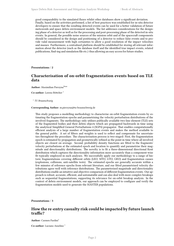good comparability to the simulated fluxes whilst other databases show a significant deviation. Finally, based on the activities performed, a list of best practices was established for in-situ detector developers to ensure that the resulting detected events can be used for a better validation of future meteoroids and space debris environment models. The list addresses considerations for the designing phase of a detector as well as for the processing and post-processing phase of the detected in-situ events. In general, the possible noise sources of the mission orbit and of the spacecraft components should be considered in the design and positioning of a detector to reduce false events and to provide valid measurement with high certainties to allow a good resolution of the impact velocities and masses. Furthermore, a centralised platform should be established for storing all relevant information about the detector (such as the database itself and the identified true impact events, related publications, find-ing and simulation file etc.) thus allowing an easy access for future studies.

<span id="page-5-0"></span>**Presentations** / **2**

## **Characterisation of on-orbit fragmentation events based on TLE data**

**Author:** Maximilian Pierzyna<sup>None</sup>

**Co-author:** Lorenz Böttcher <sup>1</sup>

1 *TU Braunschweig*

#### **Corresponding Author:** m.pierzyna@tu-braunschweig.de

This study proposes a modelling methodology to characterise on-orbit fragmentation events by estimating the fragmentation epochs and parametrising the velocity perturbation distributions of the involved fragments. The methodology only utilises publically available two-line element (TLE) sets of the fragmented bodies and their debris objects which are propagated backwards in time using the analytical Simplified General Perturbations 4 (SGP4) propagator. That enables computationally efficient analysis of a large number of fragmentation events and makes the method available to the general public. A set of filters and weights is used to reflect and compensate for uncertainties throughout the procedure. The characterisation process is two-staged: First, the fragmentation epoch is estimated by propagation and geometrically refined as the point in time where all involved objects are closest on average. Second, probability density functions are fitted to the fragments' velocity perturbations at the estimated epoch and location to quantify and parametrise their magnitude and directionality distributions. The novelty is to fit a three-dimensional directional Kent distribution which captures the directionality information more accurately than a component-wise fit typically employed in such analyses. We successfully apply our methodology to a range of historic fragmentations covering different orbits (LEO, MTO, GTO, GEO) and fragmentation causes (explosions, collisions, anti-satellite tests). The estimated epochs are generally accurate within a few minutes of reference epochs from relevant literature, and our fitted parametrised velocity distributions agree well with reference distributions. The parameterised magnitude and directionality distributions enable an intuitive and objective comparison of different fragmentation events. Our approach is robust, accurate, efficient, and automatable and can also deal with more complex breakups such as sequential fragmentations, supporting its relevance for on-orbit breakup analysis. In the context of debris environment models, our approach can be employed to configure and verify the fragmentation models used to generate the MASTER populations.

<span id="page-5-1"></span>**Presentations** / **3**

## **How the re-entry casualty risk could be impacted by future launch traffic?**

**Author:** Carmen Pardini<sup>1</sup>

**Co-author:** Luciano Anselmo<sup>1</sup>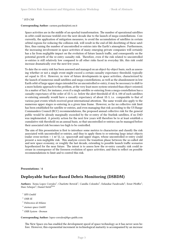## 1 *ISTI-CNR*

#### **Corresponding Author:** carmen.pardini@isti.cnr.it

Space activities are in the middle of an epochal transformation. The number of operational satellites in orbit could increase tenfold over the next decade due to the launch of mega-constellations. Concurrently, the application of mitigation measures, to avoid the accumulation of satellites in certain orbital regions for reducing the collision risk, will result in the end-of-life deorbiting of these satellites, thus raising the number of uncontrolled re-entries into the Earth's atmosphere. Furthermore, the increasing involvement in space activities of many emerging private companies will certainly has a far from negligible impact on the evolution of future launch traffic, and consequently on the potential growth of the re-entry casualty risk. Therefore, even if the risk related to uncontrolled re-entries is still relatively low compared to all other risks faced in everyday life, this risk could increase dramatically over the next few years.

To date the re-entry risk has been assessed and managed on an object-by-object basis, such as assessing whether or not a single event might exceed a certain casualty expectancy threshold, typically set equal to 1E-4. However, in view of future developments in space activities, characterized by the launch of numerous small satellites and mega-constellations, as well as the abandonment in low Earth orbit of large upper stages intended for an uncontrolled re-entry, it may be necessary to shift to a more holistic approach to the problem, at the very least more system-oriented than object-oriented. As a matter of fact, for instance, even if a single satellite re-entering from a mega-constellation has a casualty expectancy of the order of 1E-5, i.e. below the alert threshold of 1E-4, 100 of such satellites re-entering annually would have a casualty expectancy of about 1E-3, i.e. comparable to that of various past events which received great international attention. The same would also apply to the numerous upper stages re-entering in a given time frame. However, so far no collective risk limit has been established for satellite re-entries, and even managing that risk according to the US Range Commanders Council (RCC) recommendations, the proposed annual collective risk for the general public would be already marginally exceeded by the re-entry of the Starlink satellites, if no D4D was implemented. A priority action for the next few years will therefore be to at least establish a cumulative risk threshold on an annual basis, so that uncontrolled re-entries can be managed before their associated risk becomes too high to be controlled.

The aim of this presentation is first to introduce some metrics to characterize and classify the risk associated with uncontrolled re-entries, and thus to apply them to re-entering large intact objects (radar cross-section  $> 1 \text{ m}^2$ ), i.e. spacecraft and upper stages, whose uncontrolled re-entry could present a non-negligible risk. This analysis covers the transition phase between the so-called old and new space economy, or roughly the last decade, extending to possible launch traffic scenarios hypothesized for the near future. The intent is to assess how the re-entry casualty risk could increase in consequence of the foreseen evolution of space activities, and then to reflect on possible recommendations to limit and to control this risk.

### <span id="page-6-0"></span>**Presentations** / **4**

## **Deployable Surface-Based Debris Monitoring (DSBDM)**

Authors: Xenia Lopez Corrales<sup>1</sup>; Charlotte Bewick<sup>2</sup>; Camilla Colombo<sup>3</sup>; Esfandiar Farahvashi<sup>4</sup>; Ernst Pfeiffer<sup>1</sup>; Marc Scheper<sup>5</sup>; Daniel Stelzl<sup>None</sup>

- <sup>1</sup> *HPS GmbH*
- <sup>2</sup> *OHB SE*
- 3 *Politecnico di Milano*
- 4 *etamax space GmbH*
- <sup>5</sup> *OHB System Bremen*

#### **Corresponding Author:** lopez-corrales@hps-gmbh.com

The New Space era has enabled the development speed of space technology as it has never seen before. However, this exponential increment in technological maturity is accompanied by an increase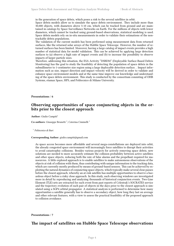in the generation of space debris, which poses a risk to the several satellites in orbit. Space debris models allow us to simulate the space debris environment. They include more than 30,000 objects, with diameters above 5-10 cm, which can be tracked from ground and are maintained in catalogs by Space Surveillance Networks on Earth. For the millions of objects with lower diameters, which cannot be tracked using ground-based observations, statistical modeling is used. Space debris models rely on in-situ measurements in order to validate their estimations of the nontrackable debris populations.

The validation of the current models has been performed using measurement data from returned surfaces, like the returned solar arrays of the Hubble Space Telescope. However, the number of returned surfaces has been limited. Moreover, having a large catalog of impact events provides a high number of statistical data for model validation. This can be achieved by applying large detection surfaces to (a) observe a high rate of impact events and (b) to increase the possibility to observe impacts of larger particle sizes.

Therefore, addressing this situation, the ESA Activity "DSBDM" (Deployable Surface-Based Debris Monitoring) has the goal to study the feasibility of detecting the population of space debris in the submillimeter to 1-centimeter size region using a large deployable detection surface. . Impact information such as size, impact direction and impact velocity will be derived in order to validate and enhance space environment models and at the same time improve our knowledge and understanding of the space debris environment. This study is conducted by the consortium consisting of OHB Systems, etamax Space, HPS, and Politecnico di Milano University.

#### <span id="page-7-0"></span>**Presentations** / **6**

## **Observing opportunities of space conjuncting objects in the orbits prior to the closest approach**

**Author:** Giulio Campiti<sup>1</sup>

Co-authors: Giuseppe Brunetti<sup>1</sup>; Caterina Ciminelli<sup>1</sup>

1 *Politecnico di Bari*

**Corresponding Author:** giulio.campiti@gmail.com

As space access becomes more affordable and several mega-constellations are deployed into orbit, the already congested space environment will increasingly force satellites to disrupt their activities to avoid catastrophic collisions. Besides various projects for actively removing space debris, new solutions are needed to more accurately estimate the collision probability between active satellites and other space objects, reducing both the rate of false alarms and the propellant required for manoeuvres. A little explored approach is to enable satellites to make autonomous observations of the objects at risk of collision with them, thus contributing with unique information to the tracking data, which are currently mostly produced by means of ground-based sensors. This can be achieved by exploiting the natural dynamics of conjuncting space objects, which typically make several close passes before the closest approach, whereby an at-risk satellite has multiple opportunities to observe a hazardous object before a risky close approach. In this study, such observing windows are investigated more in detail by reproducing and analyzing thousands of historical conjunction events. Two-Line Element (TLE) sets are extracted for each event from past reports of Celestrak's SOCRATES service and the trajectory evolution of each pair of objects in the days prior to the closest approach is simulated using a SGP4 orbital propagator. A statistical analysis is performed to determine how many opportunities a satellite generally has to observe a secondary object, how long they last on average and other relevant features, with a view to assess the practical feasibility of the proposed approach to collision avoidance.

<span id="page-7-1"></span>**Presentations** / **7**

## **The impact of satellites on Hubble Space Telescope observations**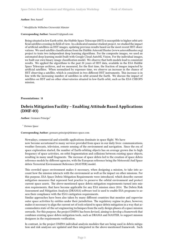#### Author: Ben Aussel<sup>1</sup>

<sup>1</sup> *Westfälische Wilhelms-Universität Münster*

**Corresponding Author:** baussel11@gmail.com

Being situated in low Earth orbit, the Hubble Space Telescope (HST) is susceptible to higher orbit artificial satellites crossing its field of view. In a dedicated summer student project, we studied the impact of artificial satellites on HST images, updating previous results based on the most recent HST observations. We used satellite classifications from the Hubble Asteroid Hunter (www.asteroidhunter.org) project to train two independent deep learning algorithms. For the composite images, we used an automated deep learning model built with Google Cloud AutoML Vision. For the individual images, we built our own binary image classification model. We observe that both models lead to consistent results. We applied the algorithms to the past 20 years of HST data, available in the ESA Hubble Space Telescope archives, and we measured, for the first time, the fraction of images impacted by artificial satellites. When normalized by exposure time, we observe an increase in the chance of HST observing a satellite, which is consistent in two different HST instruments. This increase is in line with the increasing number of satellites in orbit around the Earth. We discuss the impact of satellites on HST and on other observatories situated in low-Earth orbit, such as the ESA CHEOPS mission.

### <span id="page-8-0"></span>**Presentations** / **8**

## **Debris Mitigation Facility – Enabling Attitude Based Applications (DMF-03)**

**Author:** Gennaro Principe<sup>1</sup>

<sup>1</sup> *Deimos Space*

#### **Corresponding Author:** gennaro.principe@deimos-space.com

Nowadays, commercial and scientific applications dominate in space flight. We have now become accustomed to many services provided from space in our daily lives: communications, weather forecasts, television, remote sensing of the environment and navigation. Since the era of space exploration started, the number of Earth-orbiting objects has on average grown due to high frequency of space activities, on-orbit fragmentation and collisions between existing space objects, resulting in many small fragments. The increase of space debris led to the creation of space debris reference models by different agencies, with the European reference being the Meteoroid And Space debris Terrestrial Environment Reference (MASTER) model.

This crowded space environment makes it necessary, when designing a mission, to take into account how the mission interacts with the environment as well as the impact on other missions. For this purpose, ESA Space Debris Mitigation Requirements were introduced, which describe current mitigation measures that represent best practice to preserve the orbital environment and protect current space assets. The above-mentioned space debris mitigation requirements turned into mission requirements, that have become applicable for any ESA mission since 2014. The Debris Risk Assessment and Mitigation Analysis (DRAMA) software tool is used to enable ESA programs to assess their compliance with the ESA's mitigation requirements.

Similar approaches have been also taken by many different countries that monitor and supervise outer space activities by entities under their jurisdiction. The regulatory regime in place, however, makes it necessary to align the current set of tools related to space debris mitigation in a way that accommodates state-of-the-art engineering techniques from the early design phases of a space mission onwards. For this purpose, the project DMF01 has been devised, aiming to develop a framework that combines existing space debris mitigation tools, such as DRAMA and MASTER, to support mission designers in the requirements verification.

In contrast, in the project DMF03 individual analysis modules that are being used in debris mitigation and risk analyses are updated and then integrated in the above-mentioned framework. Such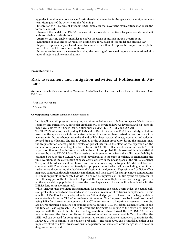upgrades intend to analyse spacecraft attitude-related dynamics in the space debris mitigation context. Main goals of the activity are the following:

• Integration of a 6-Degree-of-Freedom (DOF) simulator that covers the main attitude motions in the foreseen context;

• Augment the model from DMF-01 to account for movable parts (like solar panels) and combine it with user-defined attitude laws.

• Augment existing analysis modules to enable the usage of attitude motion descriptions.

• Estimation of drag and solar radiation coefficients for a given object model and attitude law.

• Improve disposal analyses based on attitude modes for different disposal techniques and exploitation of force model resonance conditions.

• Improve environment awareness including the crossing of protected regions and operational altitudes of major satellite constellations.

#### <span id="page-9-0"></span>**Presentations** / **9**

## **Risk assessment and mitigation activities at Politecnico di Milano**

Authors: Camilla Colombo<sup>1</sup>; Andrea Muciaccia<sup>1</sup>; Mirko Trisolini<sup>1</sup>; Lorenzo Giudici<sup>1</sup>; Juan Luis Gonzalo<sup>1</sup>; Borja Del Campo<sup>2</sup>

1 *Politecnico di Milano*

<sup>2</sup> *Deimos UK*

#### **Corresponding Author:** camilla.colombo@polimi.it

In this talk we will present the ongoing activities at Politecnico di Milano on space debris risk assessment and mitigation. A particular emphasis will be given on how we leverage, and exploit tools made available by ESA Space Debris Office such as MASTER, DRAMA and OSCAR.

The THEMIS software, developed by PoliMi and DEIMOS UK under an ESA funded study, will allow assessing the space debris index of a given mission that can be characterised in terms of trajectory evolution for the launch, operational and end-of-life phase, spacecraft mass, cross area and reflectivity and drag coefficients. The risk is evaluated as the collision probability during the mission times the fragmentation effects plus the explosion probability times the effect of the explosion on the same set of representative targets selected from DISCOS. The collision risk is assessed via MASTER population files and flux information, while the explosion probability is assessed though statistical analyses by using DISCOS data. For assessing the fragmentation effects, the collision probability is estimated through the STARLING 2.0 tool, developed at Politecnico di Milano, to characterise the time evolution of the distribution of space debris density in the phase space of the orbital elements. The space debris density and the characteristic lines, representing the fragments' orbit evolution, are computed with PlanODyn, a semi-analytical propagation tool which allows including all orbit perturbations and computing the Jacobian and Hessian of the dynamics. Explosion and collision effect maps are computed through extensive simulations and then stored for multiple index computations. The mission profile is propagated via OSCAR or can be inputted as OEM file by the s/c operator. In the following part of the THEMIS development, the index on multiple mission will be aggregated on all the space debris population to assess the overall space capacity and will be interfaced with the DELTA long-term evolution tool.

While THEMIS uses synthetic fragmentations for assessing the space debris index, the actual collision probability needs to be assessed also in the case of real in orbit collisions or explosions. To this aim, the PUZZLE tool was developed under an ASI funded project, to characterise the fragmentation event starting from the TLE of uncatalogued fragments. The fragments are backward propagated using SGP4 for short-time assessment or PlanODyn for medium to long-time assessment, the orbits are filtered through a sequence of pruning criteria on the MOID, the orbital elements families and the time at Close Approach (CA). In this way the fragments belonging to the event are identified together with the parent objects. Once the fragmentation is characterised, the STALING 2.0 tool can be used to assess the riskiest orbits and threatened missions. In case a possible CA is identified the MISS tool can be used for computing the required collision avoidance manoeuvre to maximise the MOID at CA or to minimise the collision probability. The manoeuvre can be modelled either as an impulsive effect or a low-thrust slow push or a perturbation enhanced orbit change when a solar or drag sail is considered.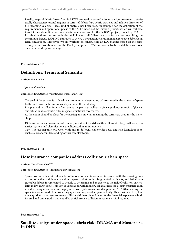Finally, maps of debris fluxes from MASTER are used in several mission design processes to statistically characterise orbital regions in terms of debris flux, debris particles and relative direction of the incoming velocity. These kind of analysis has been used, for example, for the definition of the requirements and operational phase of the ASI funded e.Cube mission project, which will validate in-orbit the sub-millimetre space debris population, and for the DSBDM project, funded by ESA. In this directions, current activities at Politecnico di Milano are also focused on exploiting the continuum-based STARLING approach to derive a population evolution model for space debris long term simulations. Moreover, we are working on constructing an EOL planner based on the semiaverage orbit evolution within the PlanOyn approach. Within these activities validation with real data is the next open challenge.

<span id="page-10-0"></span>**Presentations** / **10**

## **Definitions, Terms and Semantic**

**Author:** Valentin Eder<sup>1</sup>

1 *Space Analyses GmbH*

#### **Corresponding Author:** valentin.eder@spaceanalyses.at

The goal of the session is to develop an common understanding of terms used in the context of space traffic and how the terms are used specific in the workshop.

It is planned to collect inputs from the participants as well as to give a guidance to topic of (lexical and situational) semantic rules in space situational awareness.

At the end it should be clear for the participants in what meaning the terms are used for the workshop.

Different terms and meanings of context, sustainability, risk (within different roles), resilience, scenarios, system and classifications are discussed in an interactive

way. The participants will work with and in different stakeholder roles and risk formulations to enable a broader understanding of this complex topic.

**Presentations** / **11**

## **How insurance companies address collision risk in space**

Author: Chris Kunstadter<sup>None</sup>

### **Corresponding Author:** chris.kunstadter@axaxl.com

Space insurance is a critical enabler of innovation and investment in space. With the growing population of active and derelict satellites, spent rocket bodies, fragmentation objects, and lethal nontrackable debris, insurers need to be able to determine and characterize the risk of collision, particularly in low earth orbit. Through collaboration with industry on analytical tools, active participation in industry organizations, and engagement with policymakers and regulators, AXA XL is leading the space insurance market in promoting space and responsible space activity. This session will explore the ways that space insurers assess collision risk in orbit and quantify the financial exposures – both insured and uninsured – that could be at risk from a collision in various orbital regimes.

**Presentations** / **12**

## **Satellite design under space debris risk: DRAMA and Master use in OHB**